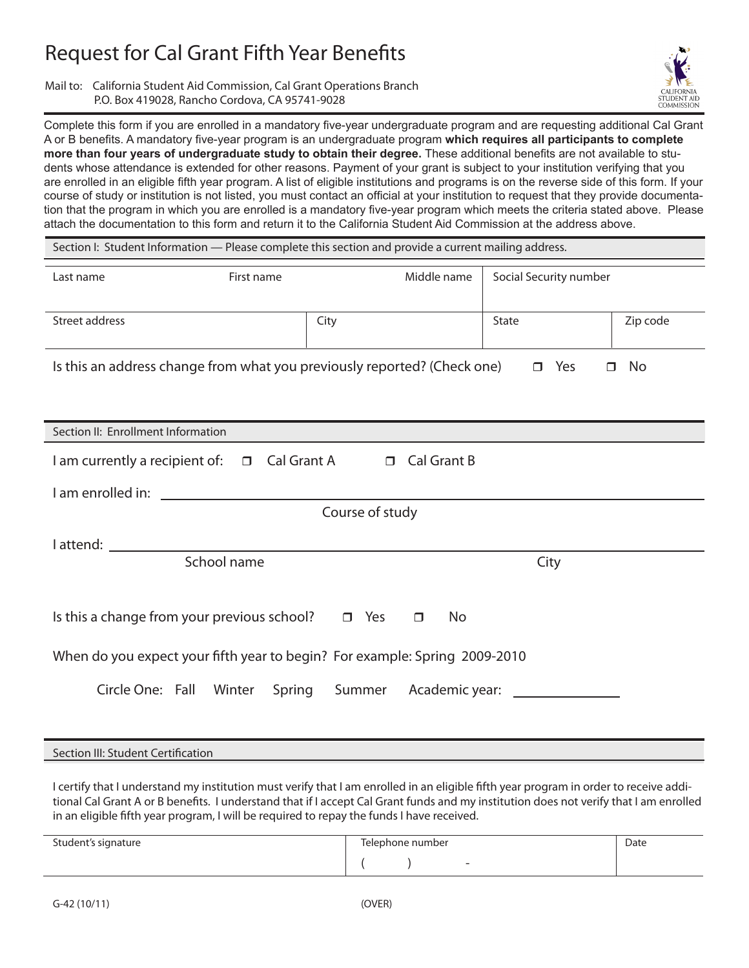## Request for Cal Grant Fifth Year Benefits

Mail to: California Student Aid Commission, Cal Grant Operations Branch P.O. Box 419028, Rancho Cordova, CA 95741-9028



Complete this form if you are enrolled in a mandatory five-year undergraduate program and are requesting additional Cal Grant A or B benefits. A mandatory five-year program is an undergraduate program **which requires all participants to complete more than four years of undergraduate study to obtain their degree.** These additional benefits are not available to students whose attendance is extended for other reasons. Payment of your grant is subject to your institution verifying that you are enrolled in an eligible fifth year program. A list of eligible institutions and programs is on the reverse side of this form. If your course of study or institution is not listed, you must contact an official at your institution to request that they provide documentation that the program in which you are enrolled is a mandatory five-year program which meets the criteria stated above. Please attach the documentation to this form and return it to the California Student Aid Commission at the address above.

| Section I: Student Information — Please complete this section and provide a current mailing address.                                       |                     |                        |          |  |  |
|--------------------------------------------------------------------------------------------------------------------------------------------|---------------------|------------------------|----------|--|--|
| First name<br>Last name                                                                                                                    | Middle name         | Social Security number |          |  |  |
| Street address                                                                                                                             | City                | State                  | Zip code |  |  |
| Is this an address change from what you previously reported? (Check one)<br>$\Box$ Yes<br>No<br>$\Box$                                     |                     |                        |          |  |  |
| Section II: Enrollment Information                                                                                                         |                     |                        |          |  |  |
| I am currently a recipient of: □ Cal Grant A □ Cal Grant B                                                                                 |                     |                        |          |  |  |
| I am enrolled in:<br><u> 1989 - Johann Harry Harry Harry Harry Harry Harry Harry Harry Harry Harry Harry Harry Harry Harry Harry Harry</u> |                     |                        |          |  |  |
| Course of study                                                                                                                            |                     |                        |          |  |  |
|                                                                                                                                            |                     |                        |          |  |  |
| School name                                                                                                                                |                     | City                   |          |  |  |
| Is this a change from your previous school? $\Box$ Yes                                                                                     | <b>No</b><br>$\Box$ |                        |          |  |  |
| When do you expect your fifth year to begin? For example: Spring 2009-2010                                                                 |                     |                        |          |  |  |
| Circle One: Fall Winter Spring Summer Academic year:                                                                                       |                     |                        |          |  |  |
|                                                                                                                                            |                     |                        |          |  |  |

## Section III: Student Certification

I certify that I understand my institution must verify that I am enrolled in an eligible fifth year program in order to receive additional Cal Grant A or B benefits. I understand that if I accept Cal Grant funds and my institution does not verify that I am enrolled in an eligible fifth year program, I will be required to repay the funds I have received.

| Student's signature | Telephone number         | Date |
|---------------------|--------------------------|------|
|                     | $\overline{\phantom{a}}$ |      |